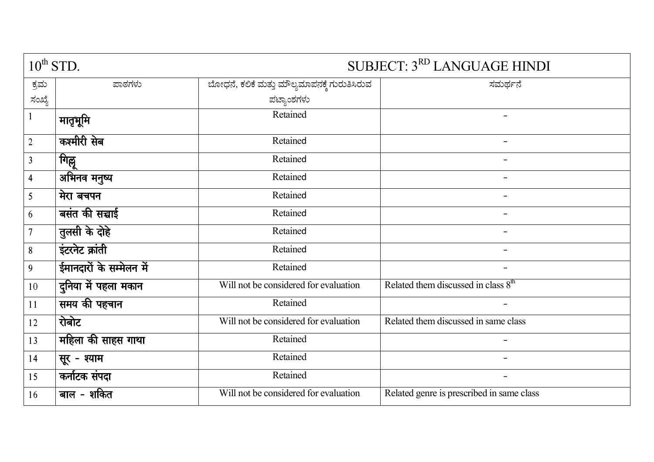| $10^{th}$ STD.          |                          | SUBJECT: 3RD LANGUAGE HINDI                  |                                           |
|-------------------------|--------------------------|----------------------------------------------|-------------------------------------------|
| ಕ್ರಮ                    | ಪಾಠಗಳು                   | ಬೋಧನೆ, ಕಲಿಕೆ ಮತ್ತು ಮೌಲ್ಯಮಾಪನಕ್ಕೆ ಗುರುತಿಸಿರುವ | ಸಮರ್ಥನೆ                                   |
| ಸಂಖ್ಯೆ                  |                          | ಪಟ್ಯಾಂಶಗಳು                                   |                                           |
| $\mathbf{1}$            | मातृभूमि                 | Retained                                     | $\overline{\phantom{0}}$                  |
| $\overline{2}$          | कश्मीरी सेब              | Retained                                     | $\overline{\phantom{a}}$                  |
| $\overline{3}$          | गिल्लू                   | Retained                                     | -                                         |
| $\overline{\mathbf{4}}$ | अभिनव मनुष्य             | Retained                                     |                                           |
| 5                       | मेरा बचपन                | Retained                                     |                                           |
| 6                       | बसंत की सच्चाई           | Retained                                     | $\overline{\phantom{0}}$                  |
| $\overline{7}$          | तुलसी के दोहे            | Retained                                     |                                           |
| $\boldsymbol{8}$        | इंटरनेट क्रांती          | Retained                                     |                                           |
| 9                       | ईमानदारों के सम्मेलन में | Retained                                     |                                           |
| 10                      | दुनिया में पहला मकान     | Will not be considered for evaluation        | Related them discussed in class $8th$     |
| 11                      | समय की पहचान             | Retained                                     |                                           |
| 12                      | रोबोट                    | Will not be considered for evaluation        | Related them discussed in same class      |
| 13                      | महिला की साहस गाथा       | Retained                                     |                                           |
| 14                      | सूर - श्याम              | Retained                                     |                                           |
| 15                      | कर्नाटक संपदा            | Retained                                     |                                           |
| 16                      | बाल - शकित               | Will not be considered for evaluation        | Related genre is prescribed in same class |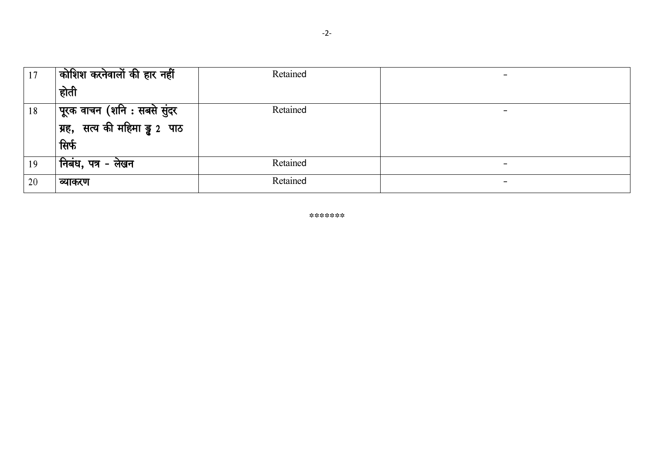| 17 | कोशिश करनेवालों की हार नहीं                                      | Retained | $\overline{\phantom{0}}$ |
|----|------------------------------------------------------------------|----------|--------------------------|
|    | होती                                                             |          |                          |
| 18 | पूरक वाचन (शनि : सबसे सुंदर<br> ग्रह,  सत्य की महिमा ड्रु 2  पाठ | Retained | $\overline{\phantom{0}}$ |
|    |                                                                  |          |                          |
|    | सिर्फ                                                            |          |                          |
| 19 | , निबंध, पत्र - लेखन                                             | Retained | $\overline{\phantom{0}}$ |
| 20 | व्याकरण                                                          | Retained | $\overline{\phantom{0}}$ |

\*\*\*\*\*\*\*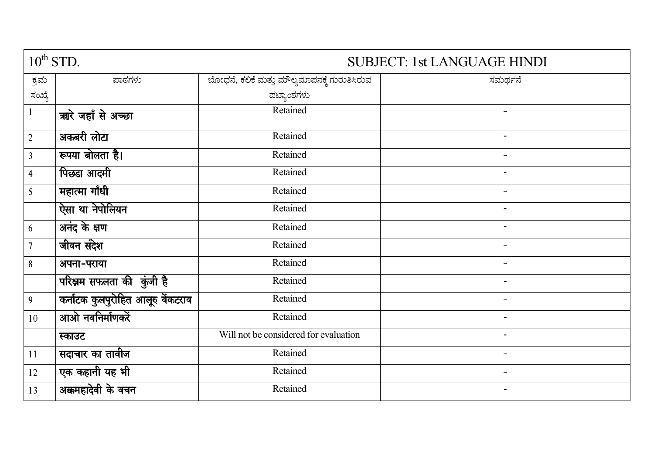| $10^{th}$ STD.          |                                   | <b>SUBJECT: 1st LANGUAGE HINDI</b>           |                          |
|-------------------------|-----------------------------------|----------------------------------------------|--------------------------|
| ಕ್ರಮ                    | ಪಾಠಗಳು                            | ಬೋಧನೆ, ಕಲಿಕೆ ಮತ್ತು ಮೌಲ್ಯಮಾಪನಕ್ಕೆ ಗುರುತಿಸಿರುವ | ಸಮರ್ಥನೆ                  |
| ಸಂಖ್ಯೆ                  |                                   | ಪಟ್ಯಾಂಶಗಳು                                   |                          |
| $\mathbf{1}$            | ऋोरे जहाँ से अच्छा                | Retained                                     |                          |
| $\overline{2}$          | अकबरी लोटा                        | Retained                                     | $\overline{\phantom{a}}$ |
| $\overline{3}$          | रूपया बोलता है।                   | Retained                                     | $\overline{\phantom{0}}$ |
| $\overline{\mathbf{4}}$ | पिछडा आदमी                        | Retained                                     | $\overline{\phantom{a}}$ |
| 5                       | महात्मा गाँधी                     | Retained                                     | -                        |
|                         | ऐसा था नेपोलियन                   | Retained                                     | $\blacksquare$           |
| 6                       | अनंद के क्षण                      | Retained                                     | $\blacksquare$           |
| $\overline{7}$          | जीवन संदेश                        | Retained                                     | $\overline{\phantom{0}}$ |
| 8                       | अपना-पराया                        | Retained                                     | $\overline{\phantom{0}}$ |
|                         | परिश्नम सफलता की कुंजी है         | Retained                                     | $\overline{a}$           |
| 9                       | कर्नाटक कुलपुरोहित आलूरु वेंकटराव | Retained                                     |                          |
| 10                      | आओ नवनिर्माणकरें                  | Retained                                     |                          |
|                         | स्काउट                            | Will not be considered for evaluation        |                          |
| 11                      | सदाचार का तावीज                   | Retained                                     |                          |
| 12                      | एक कहानी यह भी                    | Retained                                     |                          |
| 13                      | अक्कमहादेवी के वचन                | Retained                                     | $\overline{\phantom{0}}$ |